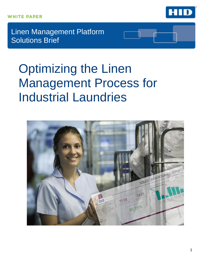

Linen Management Platform Solutions Brief

# Optimizing the Linen Management Process for Industrial Laundries

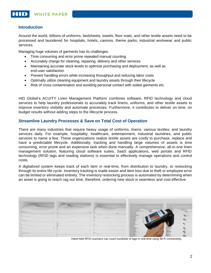## **Introduction**

Around the world, billions of uniforms, bedsheets, towels, floor mats, and other textile assets need to be processed and laundered for hospitals, hotels, casinos, theme parks, industrial workwear and public services.

Managing huge volumes of garments has its challenges:

- Time consuming and error prone repeated manual counting
- Accurately charge for cleaning, repairing, delivery and other services
- Maintaining accurate stock levels to optimize purchasing and deployment, as well as end-user satisfaction
- Prevent handling errors while increasing throughput and reducing labor costs
- Optimally utilize cleaning equipment and laundry assets through their lifecycle
- Risk of cross contamination and avoiding personal contact with soiled garments etc.

HID Global's ACUITY Linen Management Platform combines software, RFID technology and cloud services to help laundry professionals to accurately track linens, uniforms, and other textile assets to improve inventory visibility and automate processes. Furthermore, it contributes to deliver on time, on budget results without adding steps to the lifecycle process.

## **Streamline Laundry Processes & Save on Total Cost of Operation**

There are many industries that require heavy usage of uniforms, linens, various textiles, and laundry services daily. For example, hospitality, healthcare, entertainment, industrial laundries, and public services to name a few. These organizations realize textile assets are costly to purchase, replace and have a predictable lifecycle. Additionally, tracking and handling large volumes of assets is time consuming, error prone and an expensive task when done manually. A comprehensive, all-in-one linen management solution, featuring cloud software suites, SaaS applications, web portals and RFID technology (RFID tags and reading stations) is essential to effectively manage operations and control costs.

A digitalized system keeps track of each item in real-time, from distribution to laundry, to restocking through its entire life cycle. Inventory tracking is made easier and item loss due to theft or employee error can be limited or eliminated entirely. The inventory restocking process is automated by determining when an asset is going to reach rag out time, therefore, ordering new stock is seamless and cost effective.



Hand-held RFID scanners can count hundreds of tags in real-time using Wi-Fi connectivity.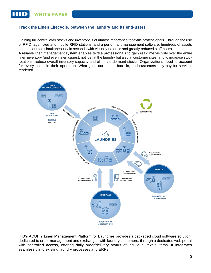**WHITE PAPER** 

## **Track the Linen Lifecycle, between the laundry and its end-users**

Gaining full control over stocks and inventory is of utmost importance to textile professionals. Through the use of RFID tags, fixed and mobile RFID stations, and a performant management software, hundreds of assets can be counted simultaneously in seconds with virtually no error and greatly reduced staff hours.

A reliable linen management system enables textile professionals to gain real-time visibility over the entire linen inventory (and even linen cages), not just at the laundry but also at customer sites, and to increase stock rotations, reduce overall inventory capacity and eliminate dormant stocks. Organizations need to account for every asset in their operation. What goes out comes back in, and customers only pay for services rendered.



HID's ACUITY Linen Management Platform for Laundries provides a packaged cloud software solution, dedicated to order management and exchanges with laundry customers, through a dedicated web portal with controlled access, offering daily order/delivery status of individual textile items. It integrates seamlessly into existing laundry processes and ERPs.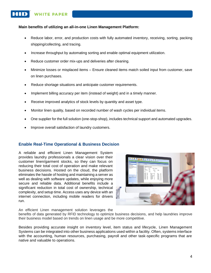## **WHITE PAPER**

#### **Main benefits of utilizing an all-in-one Linen Management Platform:**

- Reduce labor, error, and production costs with fully automated inventory, receiving, sorting, packing shipping/collecting, and tracing.
- Increase throughput by automating sorting and enable optimal equipment utilization.
- Reduce customer order mix-ups and deliveries after cleaning.
- Minimize losses or misplaced items Ensure cleaned items match soiled input from customer, save on linen purchases.
- Reduce shortage situations and anticipate customer requirements.
- Implement billing accuracy per item (instead of weight) and in a timely manner.
- Receive improved analytics of stock levels by quantity and asset type.
- Monitor linen quality, based on recorded number of wash cycles per individual items.
- One supplier for the full solution (one-stop-shop), includes technical support and automated upgrades.
- Improve overall satisfaction of laundry customers.

## **Enable Real-Time Operational & Business Decision**

A reliable and efficient Linen Management System provides laundry professionals a clear vision over their customer linen/garment stocks, so they can focus on reducing their total cost of operation and make relevant business decisions. Hosted on the cloud, the platform eliminates the hassle of hosting and maintaining a server as well as dealing with software updates, while enjoying more secure and reliable data. Additional benefits include a significant reduction in total cost of ownership, technical complexity, and setup time. Access uses any device with an internet connection, including mobile readers for drivers run.



An efficient Linen management solution leverages the

benefits of data generated by RFID technology to optimize business decisions, and help laundries improve their business model based on trends on linen usage and be more competitive.

Besides providing accurate insight on inventory level, item status and lifecycle, Linen Management Systems can be integrated into other business applications used within a facility. Often, systems interface with the accounting, human resources, purchasing, payroll and other task-specific programs that are native and valuable to operations.